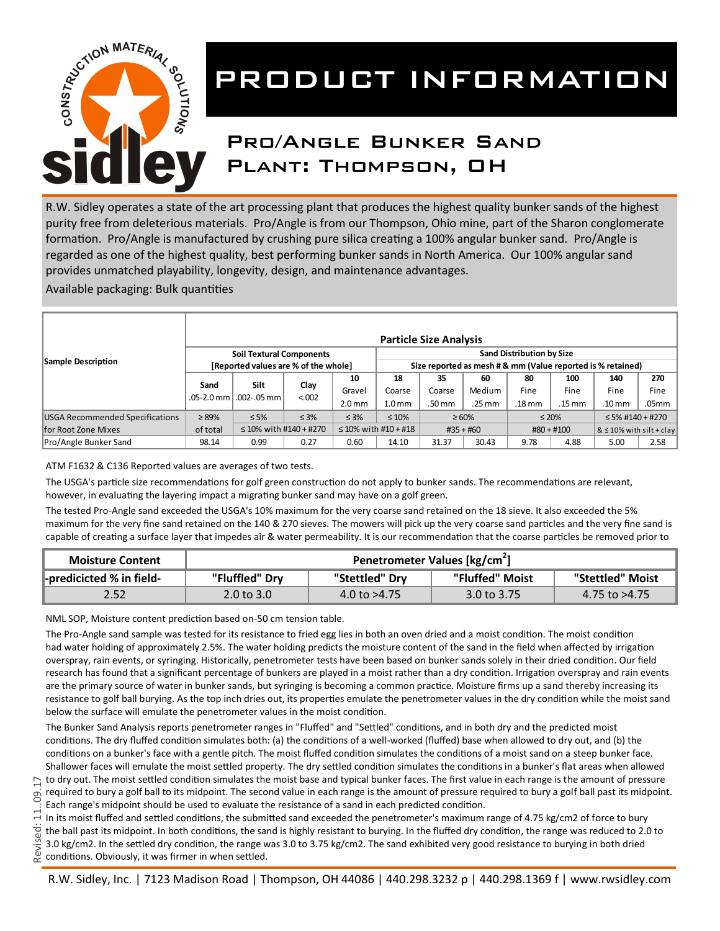

# PRODUCT INFORMATION

### Pro/Angle Bunker Sand Plant: Thompson, OH

R.W. Sidley operates a state of the art processing plant that produces the highest quality bunker sands of the highest purity free from deleterious materials. Pro/Angle is from our Thompson, Ohio mine, part of the Sharon conglomerate formation. Pro/Angle is manufactured by crushing pure silica creating a 100% angular bunker sand. Pro/Angle is regarded as one of the highest quality, best performing bunker sands in North America. Our 100% angular sand provides unmatched playability, longevity, design, and maintenance advantages.

Available packaging: Bulk quantities

| Sample Description                                     | <b>Particle Size Analysis</b>                                           |                                           |                |                                                                                                 |                                          |                        |                                    |                      |                                     |                                  |                       |
|--------------------------------------------------------|-------------------------------------------------------------------------|-------------------------------------------|----------------|-------------------------------------------------------------------------------------------------|------------------------------------------|------------------------|------------------------------------|----------------------|-------------------------------------|----------------------------------|-----------------------|
|                                                        | <b>Soil Textural Components</b><br>[Reported values are % of the whole] |                                           |                | <b>Sand Distribution by Size</b><br>Size reported as mesh # & mm (Value reported is % retained) |                                          |                        |                                    |                      |                                     |                                  |                       |
|                                                        | Sand                                                                    | Silt<br>.05-2.0 mm l .002-.05 mm l        | Clay<br>< .002 | 10<br>Gravel<br>2.0 <sub>mm</sub>                                                               | 18<br>Coarse<br>L.0 mm                   | 35<br>Coarse<br>.50 mm | 60<br>Medium<br>$.25 \, \text{mm}$ | 80<br>Fine<br>.18 mm | 100<br>Fine<br>$.15 \, \mathrm{mm}$ | 140<br>Fine<br>.10 <sub>mm</sub> | 270<br>Fine<br>.05mm  |
| USGA Recommended Specifications<br>for Root Zone Mixes | $\geq 89\%$<br>of total                                                 | $\leq 5\%$<br>$\leq$ 10% with #140 + #270 | $\leq 3\%$     | $\leq 3\%$                                                                                      | $\leq 10\%$<br>$\leq$ 10% with #10 + #18 |                        | $\geq 60\%$<br>$#35 + #60$         |                      | $\leq 20\%$<br>$#80 + #100$         | $&$ $\leq$ 10% with silt + clay  | $\leq$ 5% #140 + #270 |
| Pro/Angle Bunker Sand                                  | 98.14                                                                   | 0.99                                      | 0.27           | 0.60                                                                                            | 14.10                                    | 31.37                  | 30.43                              | 9.78                 | 4.88                                | 5.00                             | 2.58                  |

ATM F1632 & C136 Reported values are averages of two tests.

The USGA's particle size recommendations for golf green construction do not apply to bunker sands. The recommendations are relevant, however, in evaluating the layering impact a migrating bunker sand may have on a golf green.

The tested Pro-Angle sand exceeded the USGA's 10% maximum for the very coarse sand retained on the 18 sieve. It also exceeded the 5% maximum for the very fine sand retained on the 140 & 270 sieves. The mowers will pick up the very coarse sand particles and the very fine sand is capable of creating a surface layer that impedes air & water permeability. It is our recommendation that the coarse particles be removed prior to

| <b>Moisture Content</b>  | Penetrometer Values [kg/cm <sup>2</sup> ] |                |                        |                  |  |  |  |
|--------------------------|-------------------------------------------|----------------|------------------------|------------------|--|--|--|
| -predicicted % in field- | "Fluffled" Dry                            | "Stettled" Dry | "Fluffed" Moist        | "Stettled" Moist |  |  |  |
| 2.52                     | $2.0 \text{ to } 3.0$                     | 4.0 to $>4.75$ | $3.0 \text{ to } 3.75$ | 4.75 to >4.75    |  |  |  |

NML SOP, Moisture content prediction based on-50 cm tension table.

The Pro-Angle sand sample was tested for its resistance to fried egg lies in both an oven dried and a moist condition. The moist condition had water holding of approximately 2.5%. The water holding predicts the moisture content of the sand in the field when affected by irrigation overspray, rain events, or syringing. Historically, penetrometer tests have been based on bunker sands solely in their dried condition. Our field research has found that a significant percentage of bunkers are played in a moist rather than a dry condition. Irrigation overspray and rain events are the primary source of water in bunker sands, but syringing is becoming a common practice. Moisture firms up a sand thereby increasing its resistance to golf ball burying. As the top inch dries out, its properties emulate the penetrometer values in the dry condition while the moist sand below the surface will emulate the penetrometer values in the moist condition.

The Bunker Sand Analysis reports penetrometer ranges in "Fluffed" and "Settled" conditions, and in both dry and the predicted moist conditions. The dry fluffed condition simulates both: (a) the conditions of a well-worked (fluffed) base when allowed to dry out, and (b) the conditions on a bunker's face with a gentle pitch. The moist fluffed condition simulates the conditions of a moist sand on a steep bunker face. Shallower faces will emulate the moist settled property. The dry settled condition simulates the conditions in a bunker's flat areas when allowed to dry out. The moist settled condition simulates the moist base and typical bunker faces. The first value in each range is the amount of pressure required to bury a golf ball to its midpoint. The second value in each range is the amount of pressure required to bury a golf ball past its midpoint. Each range's midpoint should be used to evaluate the resistance of a sand in each predicted condition.

In its moist fluffed and settled conditions, the submitted sand exceeded the penetrometer's maximum range of 4.75 kg/cm2 of force to bury the ball past its midpoint. In both conditions, the sand is highly resistant to burying. In the fluffed dry condition, the range was reduced to 2.0 to 3.0 kg/cm2. In the settled dry condition, the range was 3.0 to 3.75 kg/cm2. The sand exhibited very good resistance to burying in both dried conditions. Obviously, it was firmer in when settled.